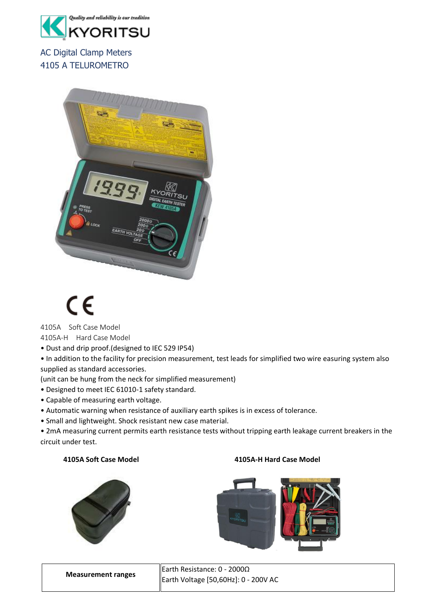

AC Digital Clamp Meters 4105 A TELUROMETRO



## CE

4105A Soft Case Model

4105A-H Hard Case Model

- Dust and drip proof.(designed to IEC 529 IP54)
- In addition to the facility for precision measurement, test leads for simplified two wire easuring system also supplied as standard accessories.

(unit can be hung from the neck for simplified measurement)

- Designed to meet IEC 61010-1 safety standard.
- Capable of measuring earth voltage.
- Automatic warning when resistance of auxiliary earth spikes is in excess of tolerance.
- Small and lightweight. Shock resistant new case material.

• 2mA measuring current permits earth resistance tests without tripping earth leakage current breakers in the circuit under test.

## **4105A Soft Case Model 4105A-H Hard Case Model**





|                           | Earth Resistance: $0 - 2000\Omega$   |
|---------------------------|--------------------------------------|
| <b>Measurement ranges</b> | Earth Voltage [50,60Hz]: 0 - 200V AC |